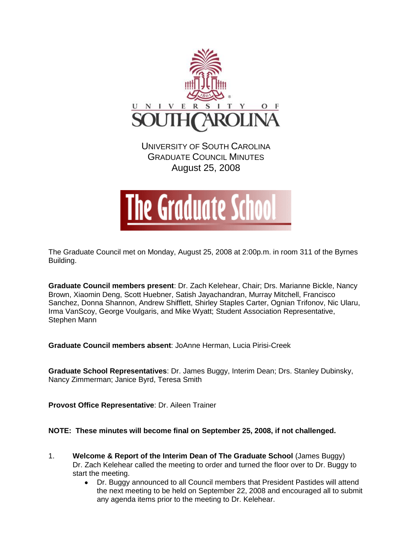

UNIVERSITY OF SOUTH CAROLINA GRADUATE COUNCIL MINUTES August 25, 2008



The Graduate Council met on Monday, August 25, 2008 at 2:00p.m. in room 311 of the Byrnes Building.

**Graduate Council members present**: Dr. Zach Kelehear, Chair; Drs. Marianne Bickle, Nancy Brown, Xiaomin Deng, Scott Huebner, Satish Jayachandran, Murray Mitchell, Francisco Sanchez, Donna Shannon, Andrew Shifflett, Shirley Staples Carter, Ognian Trifonov, Nic Ularu, Irma VanScoy, George Voulgaris, and Mike Wyatt; Student Association Representative, Stephen Mann

**Graduate Council members absent**: JoAnne Herman, Lucia Pirisi-Creek

**Graduate School Representatives**: Dr. James Buggy, Interim Dean; Drs. Stanley Dubinsky, Nancy Zimmerman; Janice Byrd, Teresa Smith

**Provost Office Representative**: Dr. Aileen Trainer

# **NOTE: These minutes will become final on September 25, 2008, if not challenged.**

- 1. **Welcome & Report of the Interim Dean of The Graduate School** (James Buggy) Dr. Zach Kelehear called the meeting to order and turned the floor over to Dr. Buggy to start the meeting.
	- $\bullet$ Dr. Buggy announced to all Council members that President Pastides will attend the next meeting to be held on September 22, 2008 and encouraged all to submit any agenda items prior to the meeting to Dr. Kelehear.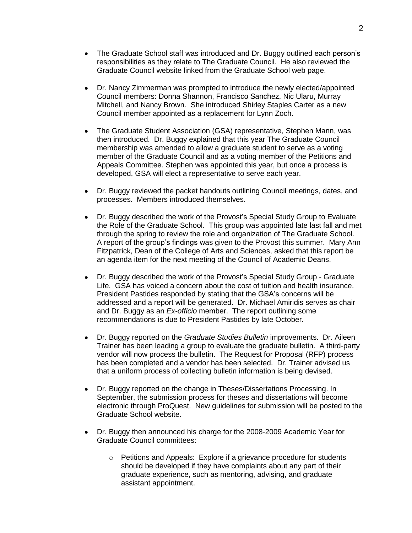- $\bullet$ The Graduate School staff was introduced and Dr. Buggy outlined each person's responsibilities as they relate to The Graduate Council. He also reviewed the Graduate Council website linked from the Graduate School web page.
- $\bullet$ Dr. Nancy Zimmerman was prompted to introduce the newly elected/appointed Council members: Donna Shannon, Francisco Sanchez, Nic Ularu, Murray Mitchell, and Nancy Brown. She introduced Shirley Staples Carter as a new Council member appointed as a replacement for Lynn Zoch.
- $\bullet$ The Graduate Student Association (GSA) representative, Stephen Mann, was then introduced. Dr. Buggy explained that this year The Graduate Council membership was amended to allow a graduate student to serve as a voting member of the Graduate Council and as a voting member of the Petitions and Appeals Committee. Stephen was appointed this year, but once a process is developed, GSA will elect a representative to serve each year.
- Dr. Buggy reviewed the packet handouts outlining Council meetings, dates, and processes. Members introduced themselves.
- Dr. Buggy described the work of the Provost's Special Study Group to Evaluate  $\bullet$ the Role of the Graduate School. This group was appointed late last fall and met through the spring to review the role and organization of The Graduate School. A report of the group's findings was given to the Provost this summer. Mary Ann Fitzpatrick, Dean of the College of Arts and Sciences, asked that this report be an agenda item for the next meeting of the Council of Academic Deans.
- $\bullet$ Dr. Buggy described the work of the Provost's Special Study Group - Graduate Life. GSA has voiced a concern about the cost of tuition and health insurance. President Pastides responded by stating that the GSA's concerns will be addressed and a report will be generated. Dr. Michael Amiridis serves as chair and Dr. Buggy as an *Ex-officio* member. The report outlining some recommendations is due to President Pastides by late October.
- Dr. Buggy reported on the *Graduate Studies Bulletin* improvements. Dr. Aileen  $\bullet$ Trainer has been leading a group to evaluate the graduate bulletin. A third-party vendor will now process the bulletin. The Request for Proposal (RFP) process has been completed and a vendor has been selected. Dr. Trainer advised us that a uniform process of collecting bulletin information is being devised.
- Dr. Buggy reported on the change in Theses/Dissertations Processing. In  $\bullet$ September, the submission process for theses and dissertations will become electronic through ProQuest. New guidelines for submission will be posted to the Graduate School website.
- $\bullet$ Dr. Buggy then announced his charge for the 2008-2009 Academic Year for Graduate Council committees:
	- o Petitions and Appeals: Explore if a grievance procedure for students should be developed if they have complaints about any part of their graduate experience, such as mentoring, advising, and graduate assistant appointment.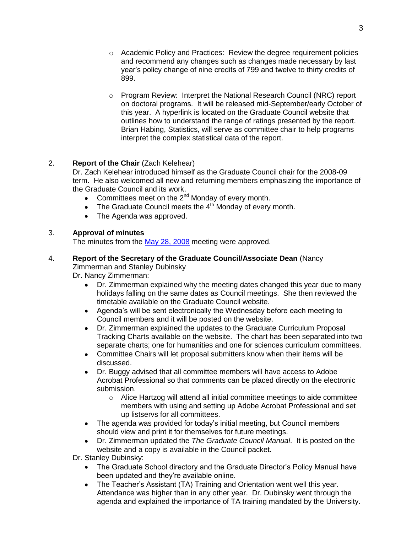- o Academic Policy and Practices: Review the degree requirement policies and recommend any changes such as changes made necessary by last year's policy change of nine credits of 799 and twelve to thirty credits of 899.
- o Program Review: Interpret the National Research Council (NRC) report on doctoral programs. It will be released mid-September/early October of this year. A hyperlink is located on the Graduate Council website that outlines how to understand the range of ratings presented by the report. Brian Habing, Statistics, will serve as committee chair to help programs interpret the complex statistical data of the report.

# 2. **Report of the Chair** (Zach Kelehear)

Dr. Zach Kelehear introduced himself as the Graduate Council chair for the 2008-09 term. He also welcomed all new and returning members emphasizing the importance of the Graduate Council and its work.

- Committees meet on the  $2^{nd}$  Monday of every month.
- The Graduate Council meets the  $4<sup>th</sup>$  Monday of every month.
- The Agenda was approved.

# 3. **Approval of minutes**

The minutes from the [May 28, 2008](../../2007-2008/5-28-08/GCMinutes080528.pdf) meeting were approved.

#### 4. **Report of the Secretary of the Graduate Council/Associate Dean** (Nancy Zimmerman and Stanley Dubinsky

Dr. Nancy Zimmerman:

Dr. Zimmerman explained why the meeting dates changed this year due to many holidays falling on the same dates as Council meetings. She then reviewed the timetable available on the Graduate Council website.

- $\bullet$ Agenda's will be sent electronically the Wednesday before each meeting to Council members and it will be posted on the website.
- Dr. Zimmerman explained the updates to the Graduate Curriculum Proposal  $\bullet$ Tracking Charts available on the website. The chart has been separated into two separate charts; one for humanities and one for sciences curriculum committees.
- Committee Chairs will let proposal submitters know when their items will be discussed.
- Dr. Buggy advised that all committee members will have access to Adobe  $\bullet$ Acrobat Professional so that comments can be placed directly on the electronic submission.
	- o Alice Hartzog will attend all initial committee meetings to aide committee members with using and setting up Adobe Acrobat Professional and set up listservs for all committees.
- The agenda was provided for today's initial meeting, but Council members should view and print it for themselves for future meetings.
- Dr. Zimmerman updated the *The Graduate Council Manual*. It is posted on the  $\bullet$ website and a copy is available in the Council packet.
- Dr. Stanley Dubinsky:
	- The Graduate School directory and the Graduate Director's Policy Manual have  $\bullet$ been updated and they're available online.
	- The Teacher's Assistant (TA) Training and Orientation went well this year.  $\bullet$ Attendance was higher than in any other year. Dr. Dubinsky went through the agenda and explained the importance of TA training mandated by the University.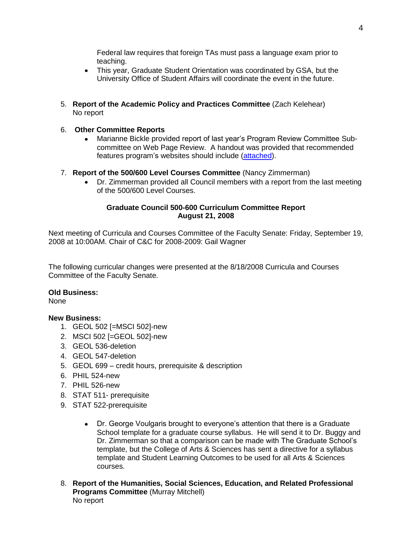Federal law requires that foreign TAs must pass a language exam prior to teaching.

- $\bullet$ This year, Graduate Student Orientation was coordinated by GSA, but the University Office of Student Affairs will coordinate the event in the future.
- 5. **Report of the Academic Policy and Practices Committee** (Zach Kelehear) No report

# 6. **Other Committee Reports**

- Marianne Bickle provided report of last year's Program Review Committee Sub- $\bullet$ committee on Web Page Review. A handout was provided that recommended features program's websites should include [\(attached\)](Web%20Page%20Review%20Sub%20Committee%20report.pdf).
- 7. **Report of the 500/600 Level Courses Committee** (Nancy Zimmerman)
	- $\bullet$ Dr. Zimmerman provided all Council members with a report from the last meeting of the 500/600 Level Courses.

### **Graduate Council 500-600 Curriculum Committee Report August 21, 2008**

Next meeting of Curricula and Courses Committee of the Faculty Senate: Friday, September 19, 2008 at 10:00AM. Chair of C&C for 2008-2009: Gail Wagner

The following curricular changes were presented at the 8/18/2008 Curricula and Courses Committee of the Faculty Senate.

#### **Old Business:**

None

### **New Business:**

- 1. GEOL 502 [=MSCI 502]-new
- 2. MSCI 502 [=GEOL 502]-new
- 3. GEOL 536-deletion
- 4. GEOL 547-deletion
- 5. GEOL 699 credit hours, prerequisite & description
- 6. PHIL 524-new
- 7. PHIL 526-new
- 8. STAT 511- prerequisite
- 9. STAT 522-prerequisite
	- Dr. George Voulgaris brought to everyone's attention that there is a Graduate  $\bullet$ School template for a graduate course syllabus. He will send it to Dr. Buggy and Dr. Zimmerman so that a comparison can be made with The Graduate School's template, but the College of Arts & Sciences has sent a directive for a syllabus template and Student Learning Outcomes to be used for all Arts & Sciences courses.
- 8. **Report of the Humanities, Social Sciences, Education, and Related Professional Programs Committee** (Murray Mitchell) No report